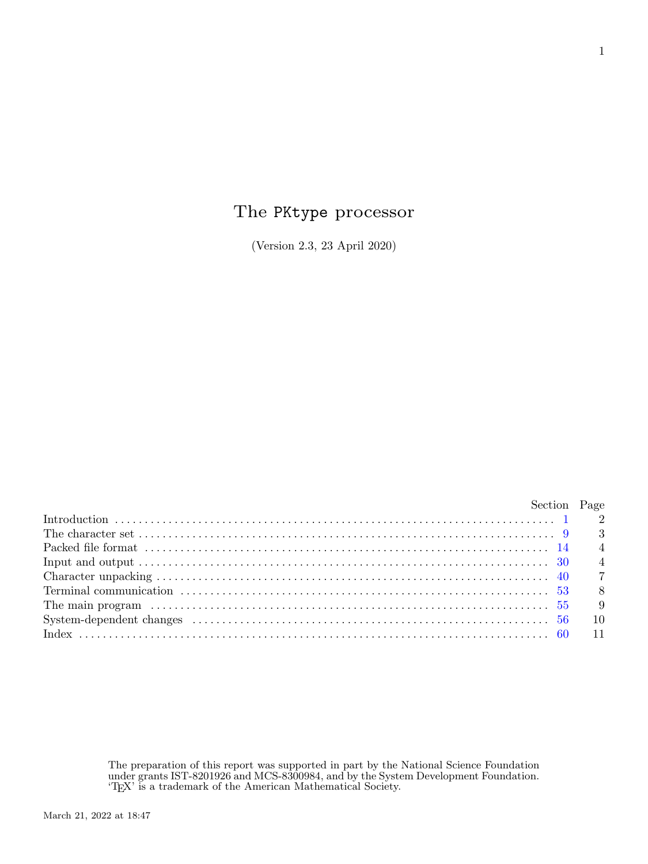# The PKtype processor

(Version 2.3, 23 April 2020)

| Section Page   |
|----------------|
|                |
|                |
| $\overline{4}$ |
| $\overline{4}$ |
|                |
| 8              |
| - 9            |
| - 10           |
|                |
|                |

The preparation of this report was supported in part by the National Science Foundation under grants IST-8201926 and MCS-8300984, and by the System Development Foundation. 'TEX' is a trademark of the American Mathematical Society.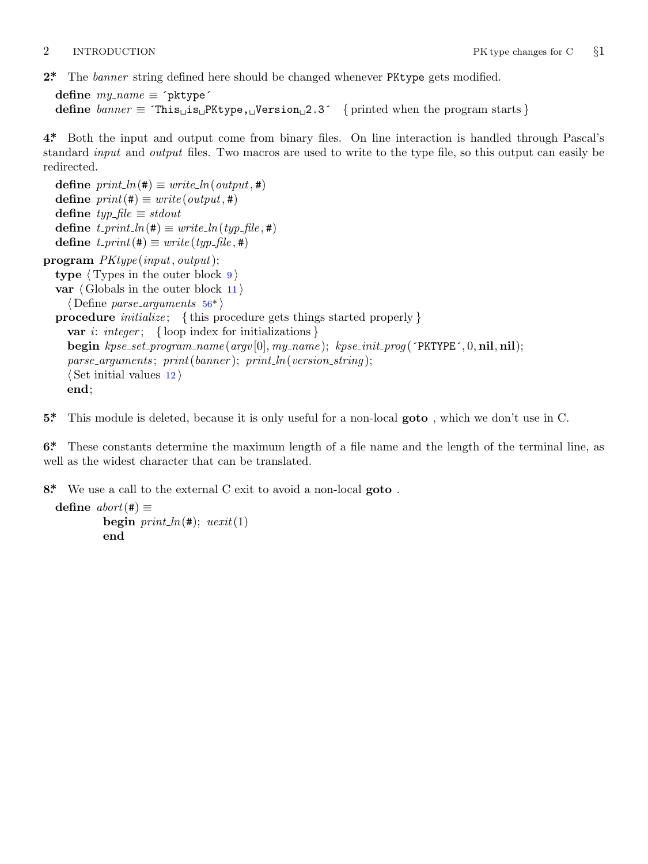<span id="page-1-0"></span>

```
2*. The banner string defined here should be changed whenever PKtype gets modified.
```

```
define my name ≡ ´pktype´
define banner ≡ ´This␣is␣PKtype,␣Version␣2.3´ { printed when the program starts }
```
**4\*.** Both the input and output come from binary files. On line interaction is handled through Pascal's standard *input* and *output* files. Two macros are used to write to the type file, so this output can easily be redirected.

 $\text{define } print\_ln(\texttt{\#}) \equiv write\_ln(output, \texttt{\#})$ **define**  $print(\textbf{\#}) \equiv write(output, \textbf{\#})$ **define** *typ file ≡ stdout*  $\text{define } t\_print\_ln(\texttt{\#}) \equiv write\_ln(typ\_file, \texttt{\#})$  $\text{define } t\_print\_ln(\texttt{\#}) \equiv write\_ln(typ\_file, \texttt{\#})$  $\text{define } t\_print\_ln(\texttt{\#}) \equiv write\_ln(typ\_file, \texttt{\#})$  $\text{define } t\_print(\texttt{\#}) \equiv write(typ\_file, \texttt{\#})$ **program** *PKtype* (*input, output*); **type** *⟨* Types in the outer block 9 *⟩* **var** *⟨* Globals in the outer block 11 *⟩ ⟨* Define *parse arguments* 56\* *⟩* **procedure** *initialize* ; *{* this procedure gets things started properly *}* **var** *i*: *integer* ; *{* loop index for initializations *}* **begin** *kpse set program name* (*argv* [0]*, my name* ); *kpse init prog* (´PKTYPE´*,* 0*,* **nil***,* **nil**);  $parse_{\text{arguments}}$ ;  $print(banner)$ ;  $print_{\text{in}}(version\_string)$ ; *⟨* Set initial values 12 *⟩* **end**;

**5\*.** This module is deleted, because it is only useful for a non-local **goto** , which we don't use in C.

**6\*.** These constants determine the maximum length of a file name and the length of the terminal line, as well as the widest character that can be translated.

**8\*.** We use a call to the external C exit to avoid a non-local **goto** .

```
\text{define } abort(\texttt{\#}) \equivbegin print\_ln(\#); ucxit(1)end
```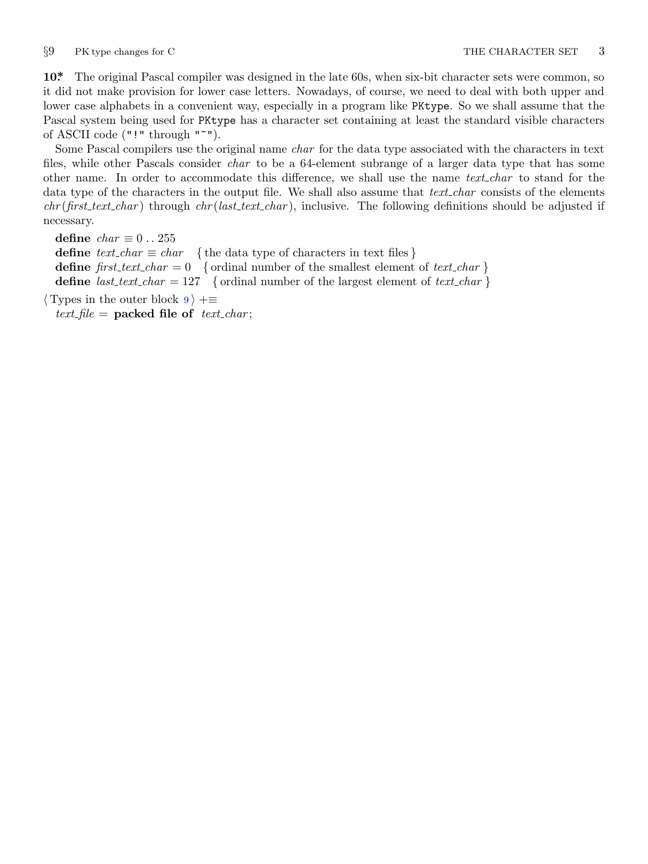<span id="page-2-0"></span>

**10\*.** The original Pascal compiler was designed in the late 60s, when six-bit character sets were common, so it did not make provision for lower case letters. Nowadays, of course, we need to deal with both upper and lower case alphabets in a convenient way, especially in a program like PKtype. So we shall assume that the Pascal system being used for PKtype has a character set containing at least the standard visible characters of ASCII code ("!" through "~").

Some Pascal compilers use the original name *char* for the data type associated with the characters in text files, while other Pascals consider *char* to be a 64-element subrange of a larger data type that has some other name. In order to accommodate this difference, we shall use the name *text char* to stand for the data type of the characters in the output file. We shall also assume that *text char* consists of the elements *chr* (*first text char* ) through *chr* (*last text char* ), inclusive. The following definitions should be adjusted if necessary.

**define**  $char \equiv 0 \ldots 255$ **define**  $text\_text\_char \leq char$  { the data type of characters in text files } **define**  $first\_text\_char = 0$  { ordinal number of the smallest element of  $text\_char}$ } **define**  $last\_text\_char = 127$  {ordinal number of the largest element of  $text\_char}$ }

*⟨* Types in the outer block 9 *⟩* +*≡*  $text$ *file* = **packed file of**  $text$ *text\_char*;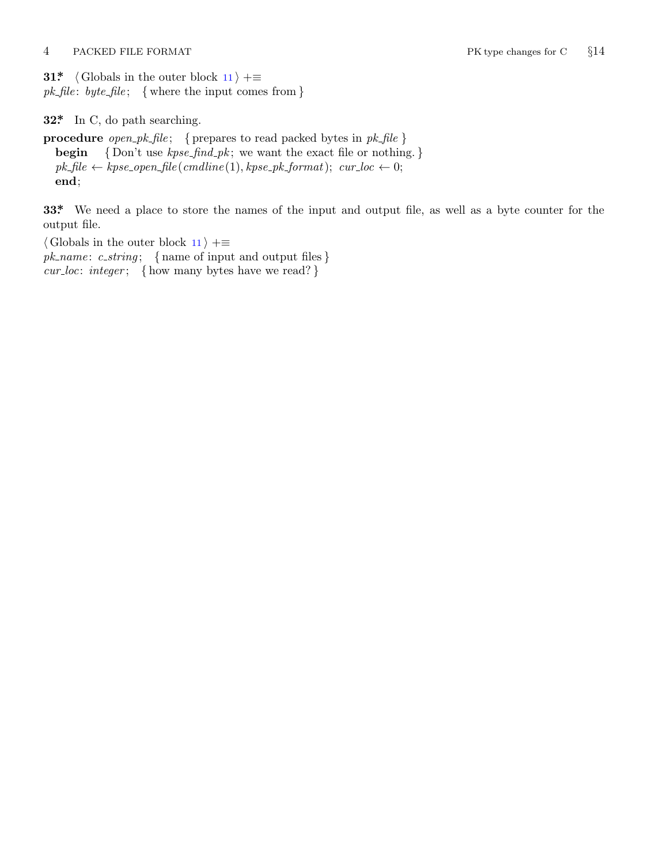<span id="page-3-0"></span>4 PACKED FILE FORMAT PK type changes for C *§*14

**31\***  $\langle$  Globals in the outer block 11  $\rangle$  + $\equiv$ *pk file* : *byte file* ; *{* where the input comes from *}*

**32\*.** In C, do path searching.

**procedure** *open pk file* ; *{* prepares to read packed bytes in *pk file }* **begin** *{* Don't use *kpse find pk* ; we want the exact file or nothing. *}*  $pk\_file \leftarrow kpse\_open\_file \left( \text{cm}dline(1), kpse\_pk\_format \right); \text{ } cur\_loc \leftarrow 0;$ **end**;

**33\*.** We need a place to store the names of the input and output file, as well as a byte counter for the output file.

*⟨* Globals in the outer block 11 *⟩* +*≡ pk name* : *c string* ; *{* name of input and output files *} cur loc*: *integer* ; *{* how many bytes have we read? *}*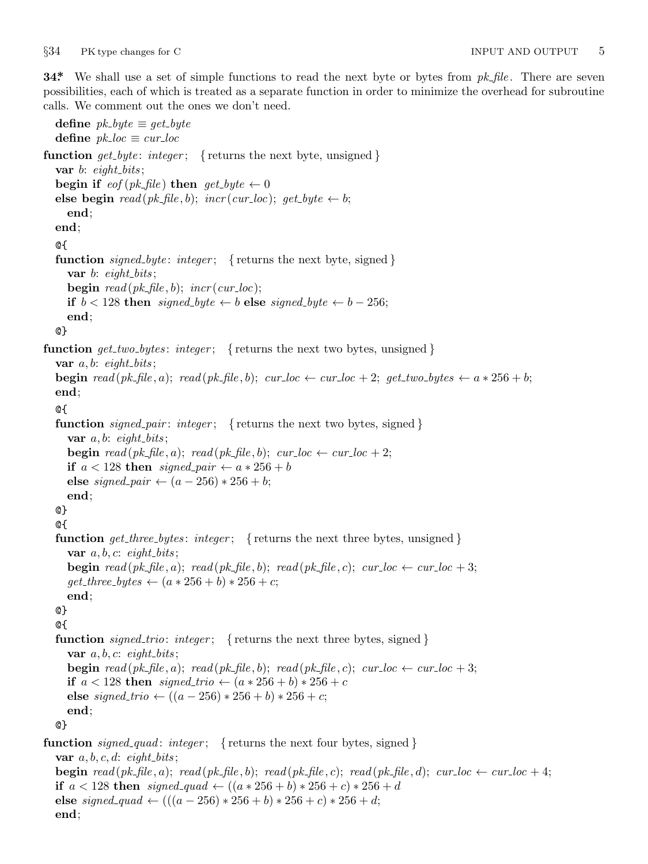**end**;

<span id="page-4-0"></span>**34\*.** We shall use a set of simple functions to read the next byte or bytes from *pk file* . There are seven possibilities, each of which is treated as a separate function in order to minimize the overhead for subroutine calls. We comment out the ones we don't need.

**define**  $pk\_byte \equiv get\_byte$ **define**  $pk\_loc \equiv cur\_loc$ **function**  $get\_byte: integer;$  { returns the next byte, unsigned } **var** *b*: *eight bits* ; **begin if**  $\text{eof}(pk\text{-file})$  **then**  $\text{get\_byte} \leftarrow 0$ **else begin**  $read(pk$   $\text{file}, b)$ ;  $incr(cur \text{__} loc)$ ;  $get\_byte \leftarrow b$ ; **end**; **end**; @{ **function** *signed byte* : *integer* ; *{* returns the next byte, signed *}* **var** *b*: *eight bits* ; **begin**  $read(pk$ *, file*, *b*);  $incr(cur$ *loc*); **if**  $b < 128$  **then** *signed\_byte*  $\leftarrow b$  **else** *signed\_byte*  $\leftarrow b - 256$ ; **end**; @} **function** *get two bytes* : *integer* ; *{* returns the next two bytes, unsigned *}* **var**  $a, b$ :  $eight\_bits$ ; **begin** read(pk\_file, a); read(pk\_file, b); cur\_loc  $\leftarrow$  cur\_loc + 2; get\_two\_bytes  $\leftarrow a * 256 + b$ ; **end**; @{ **function** *signed pair* : *integer* ; *{* returns the next two bytes, signed *}* **var**  $a, b$ :  $eight\_bits$ ; **begin**  $read(pk$   $\text{file}, a)$ ;  $read(pk$   $\text{file}, b)$ ;  $cur$   $\text{loc} \leftarrow cur$   $\text{loc} + 2$ ; **if**  $a < 128$  **then**  $signed\_pair \leftarrow a * 256 + b$ **else** *signed\_pair*  $← (a - 256) * 256 + b;$ **end**; @} @{ **function** *get three bytes* : *integer* ; *{* returns the next three bytes, unsigned *}* **var**  $a, b, c$ : *eight\_bits*; **begin**  $read(pk_file, a); read(pk_file, b); read(pk_file, c); car\_loc \leftarrow cur\_loc + 3;$  $get\_three\_bytes \leftarrow (a * 256 + b) * 256 + c;$ **end**; @} @{ **function** *signed trio*: *integer* ; *{* returns the next three bytes, signed *}* **var**  $a, b, c$ : *eight\_bits*; **begin**  $read(pk$   $fhle, a)$ ;  $read(pk$   $fhle, b)$ ;  $read(pk$   $fhle, c)$ ;  $cur\_loc \leftarrow cur\_loc + 3$ ; **if**  $a < 128$  **then**  $signed\_trio \leftarrow (a * 256 + b) * 256 + c$ **else** *signed\_trio* ←  $((a - 256) * 256 + b) * 256 + c;$ **end**; @} **function** *signed quad* : *integer* ; *{* returns the next four bytes, signed *}* **var**  $a, b, c, d$ : *eight\_bits*; **begin** read(pk\_file,a); read(pk\_file,b); read(pk\_file,c); read(pk\_file,d); cur\_loc  $\leftarrow$  cur\_loc + 4; **if**  $a < 128$  **then**  $signed\_quad \left( (a * 256 + b) * 256 + c \right) * 256 + d$ **else** *signed\_quad*  $\leftarrow (((a - 256) * 256 + b) * 256 + c) * 256 + d;$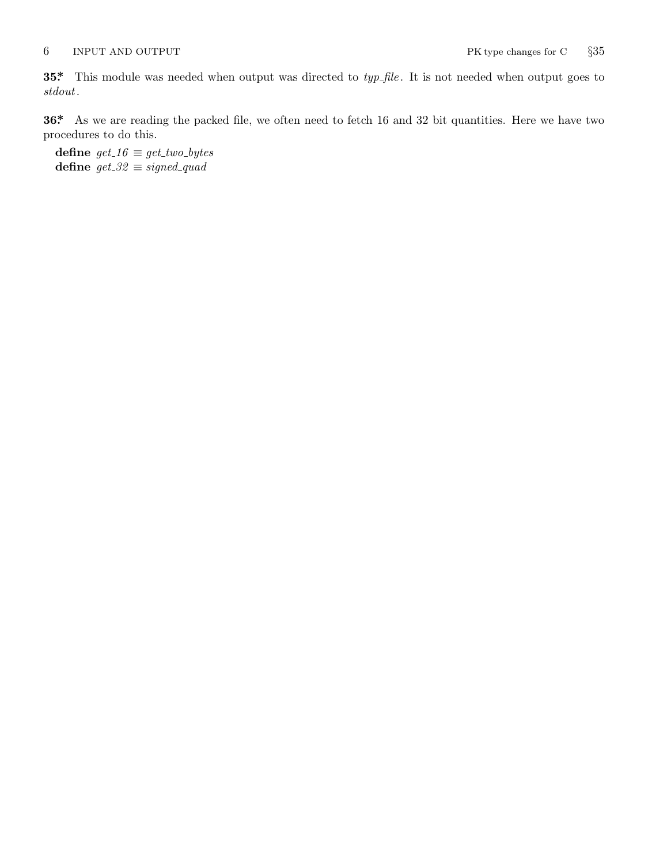<span id="page-5-0"></span>**35\*.** This module was needed when output was directed to *typ file* . It is not needed when output goes to *stdout*.

**36\*.** As we are reading the packed file, we often need to fetch 16 and 32 bit quantities. Here we have two procedures to do this.

**define**  $get\_16 \equiv get\_two\_bytes$ **define** *get 32 ≡ signed quad*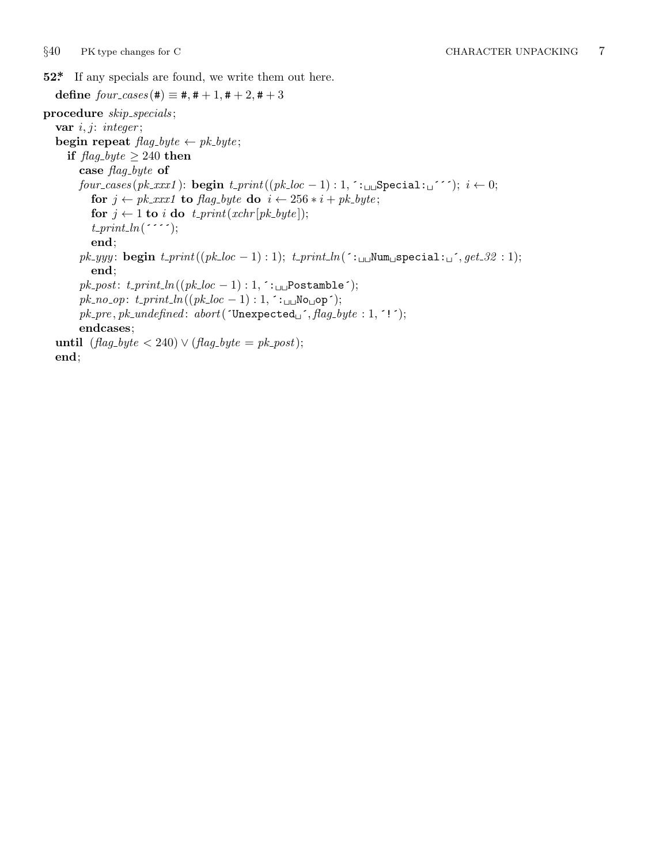<span id="page-6-0"></span>**52\*.** If any specials are found, we write them out here.

 $\text{define } four\_cases$  (#)  $\equiv$  #, # + 1, # + 2, # + 3 **procedure** *skip specials* ; **var** *i, j*: *integer* ; **begin repeat**  $\text{flag\_byte} \leftarrow \text{pk\_byte};$ **if**  $\text{flag\_byte} \geq 240$  **then case** *flag byte* **of** *four cases* (*pk xxx1* ): **begin** *t print*((*pk loc −* 1) : 1*,* ´:␣␣Special:␣´´´); *i ←* 0; **for**  $j \leftarrow pk\_xxx1$  **to**  $flag\_byte$  **do**  $i \leftarrow 256 * i + pk\_byte$ ; **for**  $j \leftarrow 1$  **to** *i* **do**  $t\_print(xchr[pk\_byte])$ ;  $t$ <sub>-print</sub>  $ln($   $\cdots$   $);$ **end**;  $pk\_yyy$ : **begin**  $t\_print((pk\_loc - 1): 1); t\_print\_ln($ : $\cup \text{Num } \text{Special}: \text{C}$ ,  $get\_32: 1);$ **end**;  $pk\_post: t\_print\_ln((pk\_loc - 1): 1, : \underline{\ldots}$ Postamble´);  $pk\_no\_op: t\_print\_ln((pk\_loc - 1): 1, \in_{\sqcup \sqcup} \text{No}_{\sqcup} \text{op}');$  $pk\_pre$ *,*  $pk\_undefined$ *:*  $abort('Unexpected<sub>□</sub>'$ *<i>,*  $flag\_byte : 1, '!');$ **endcases**; **until**  $(flag_b yte < 240) \lor (flag_b yte = pk\_post);$ **end**;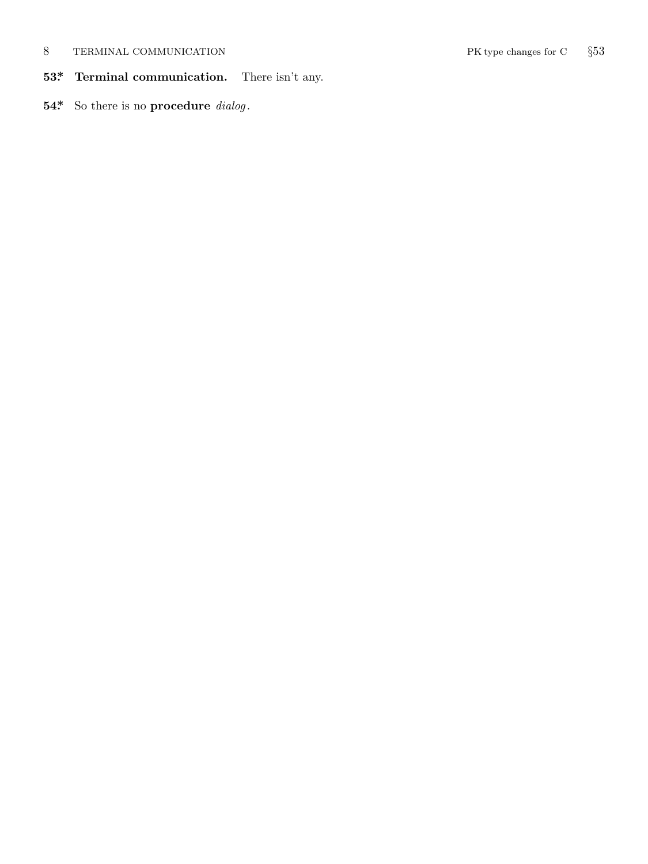## <span id="page-7-0"></span>8 TERMINAL COMMUNICATION PK type changes for C *§*53

- **53\*. Terminal communication.** There isn't any.
- **54\*.** So there is no **procedure** *dialog* .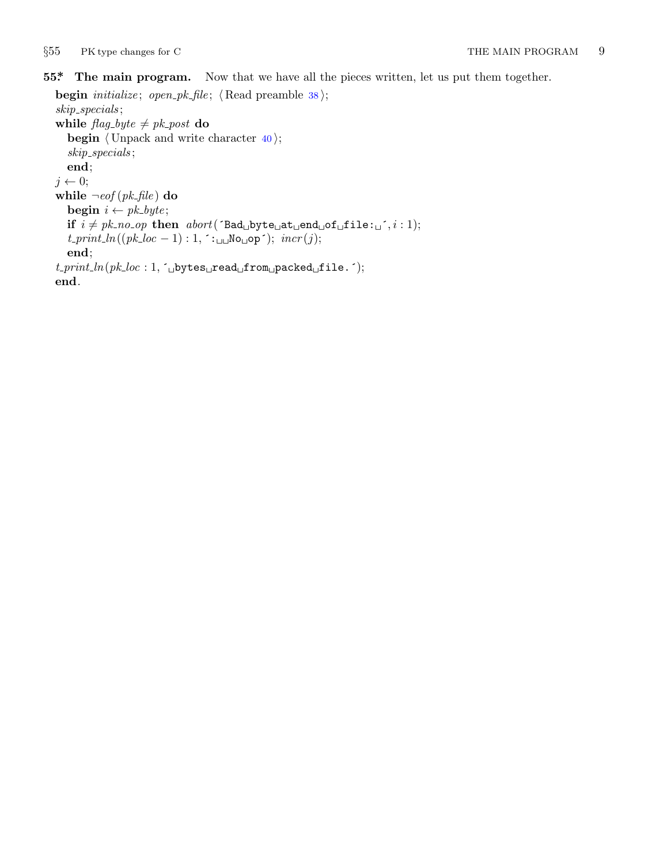#### <span id="page-8-0"></span>*§*55 PK type changes for C THE MAIN PROGRAM 9

### **55\*. The main program.** Now that we have all the pieces written, let us put them together.

```
begin initialize ; open pk file ; ⟨ Read preamble 38 ⟩;
skip specials ;
while \text{flag\_byte} \neq \text{pk\_post} do
   begin ⟨ Unpack and write character 40 ⟩;
   skip specials ;
   end;
j \leftarrow 0;while \neg \textit{eof} (pk\textit{file}) do
   begin i \leftarrow pk\_byte;if i \neq pk\_no\_op then abort('Bad<sub>u</sub>byte<sub>u</sub>at<sub>u</sub>end<sub>u</sub>of<sub>u</sub>file: <sub>u</sub>^{'}, i: 1);t<sub>-print<sub>-</sub>ln((pk\_loc - 1): 1, \infty); incr(j);</sub>
   end;
t print ln(pk loc : 1, ´␣bytes␣read␣from␣packed␣file.´);
end.
```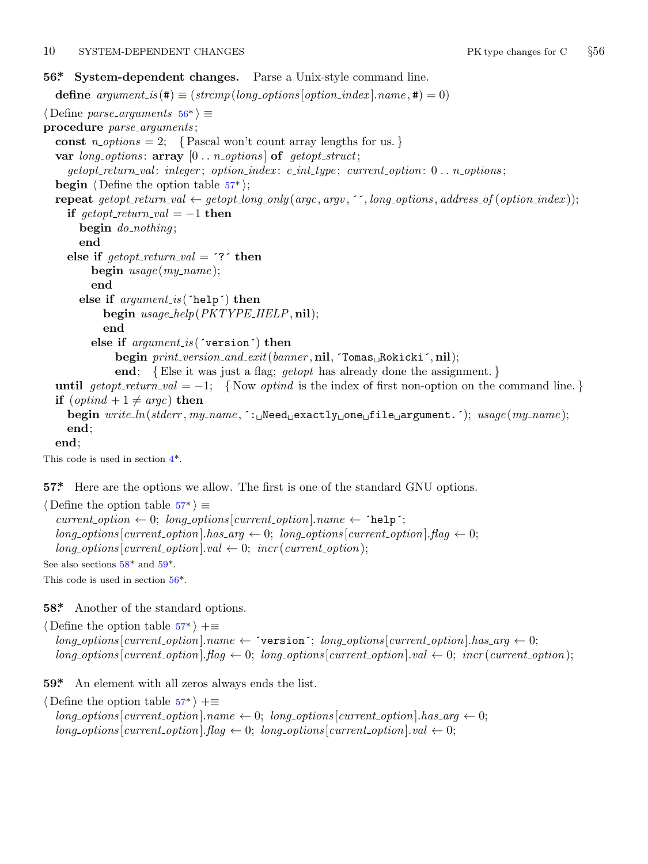#### <span id="page-9-0"></span>10 SYSTEM-DEPENDENT CHANGES PK type changes for C *§*56

#### **56\*. System-dependent changes.** Parse a Unix-style command line.

**define**  $argument_is(\textbf{\#}) \equiv (strompllong_options[option\_index].name, \textbf{\#}) = 0)$ *⟨* Define *parse arguments* 56\* *⟩ ≡* **procedure** *parse arguments* ; const  $n\_options = 2$ ; {Pascal won't count array lengths for us. } **var** *long options* : **array** [0 *. . n options* ] **of** *getopt struct*; *getopt return val* : *integer* ; *option index* : *c int type* ; *current option*: 0 *. . n options* ; **begin**  $\langle$  Define the option table 57<sup>\*</sup> $\rangle$ ; **repeat** getopt\_return\_val  $\leftarrow$  getopt\_long\_only(argc, argv, '', long\_options, address\_of(option\_index)); **if**  $\text{get} \text{opt}\_\text{return}\_\text{val} = -1$  **then begin** *do nothing* ; **end else if**  $\text{getopt}\_\text{return}\_\text{val} =$   $\text{?}$  **then begin** *usage* (*my name* ); **end else if** *argument is* (´help´) **then begin** *usage help*(*PKTYPE HELP,* **nil**); **end else if** *argument is* (´version´) **then begin** *print version and exit*(*banner ,* **nil***,* ´Tomas␣Rokicki´*,* **nil**); **end**; *{*E[ls](#page-1-0)e it was just a flag; *getopt* has already done the assignment. *}* **until**  $qetopt\_return\_val = -1$ ; {Now *optind* is the index of first non-option on the command line.} **if**  $(\text{optind} + 1 \neq \text{argc})$  **then begin** *write ln*(*stderr , my name ,* ´:␣Need␣exactly␣one␣file␣argument.´); *usage* (*my name* ); **end**; **end**; This code is used in section 4\*.

**57\*.** Here are the options we allow. The first is one of the standard GNU options.

*⟨* Define the option table 57\* *⟩ ≡*  $current\_option \leftarrow 0; long\_options[current\_option].name \leftarrow 'help';$  $long-options[current\_option].has\_arg \leftarrow 0; long-options[current\_option].flag \leftarrow 0;$  $long\_options[current\_option].val \leftarrow 0; incr(current\_option);$ 

See also sections  $58^*$  and  $59^*$ .

This code is used in section 56\*.

**58\*.** Another of the standard options.

*⟨* Define the option table 57\* *⟩* +*≡*  $long-options$  [*current\_option*]*.name*  $\leftarrow$   $\infty$   $\infty$   $\infty$ *is arg*  $\infty$ *is*  $\infty$ *<sub><i>n*</sub></sub>  $\infty$ *is arg*  $\leftarrow$  0;  $long\_options$  [*current\_option*]*.flag*  $\leftarrow 0$ ; *long\_options* [*current\_option*]*.val*  $\leftarrow 0$ ; *incr* (*current\_option*);

**59\*.** An element with all zeros always ends the list.

*⟨* Define the option table 57\* *⟩* +*≡*  $\{long\}$  *ong\_options*  $[current\_option]$ *.name*  $\leftarrow 0$ ;  $\{long\}$  *options*  $[current\_option]$ *.has\_arg*  $\leftarrow 0$ ;  $long\_options[current\_option]$ *.* $flag \leftarrow 0$ ;  $long\_options[current\_option]$ *.val*  $\leftarrow 0$ ;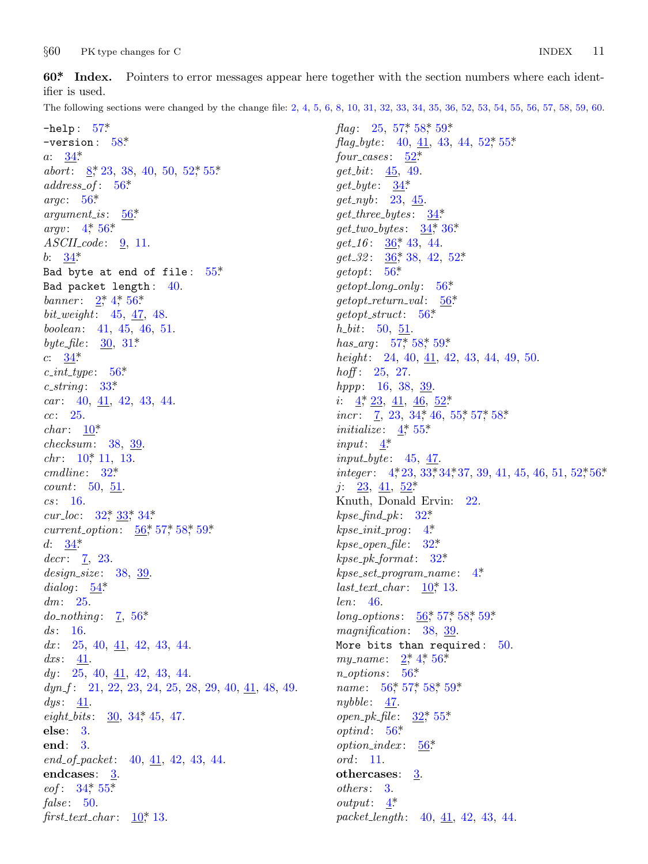<span id="page-10-0"></span> $§60$ PK type changes for C

60\* Index. Pointers to error messages appear here together with the section numbers where each identifier is used.

The following sections were changed by the change file: 2, 4, 5, 6, 8, 10, 31, 32, 33, 34, 35, 36, 52, 53, 54, 55, 56, 57, 58, 59, 60.

 $-$ help:  $57*$  $-version: 58*$  $a: 34*$ abort:  $8, 23, 38, 40, 50, 52, 55$ \*  $address\_of: 56*$ argc:  $56^*$  $argument_is:$  $56*$  $argv: 4, 56*$  $ASCII\_code: 9, 11.$ *b*:  $34^*$ Bad byte at end of file:  $55*$ Bad packet length: 40. banner:  $2^*$ ,  $4^*$ ,  $56^*$ *bit\_weight*:  $45, 47, 48$ . boolean: 41, 45, 46, 51. *byte\_file*:  $30, 31^*$  $c: \frac{34^*}{2}$  $c\_int\_type: 56^*$  $c\_string: 33*$  $car: 40, 41, 42, 43, 44.$  $cc: 25.$  $char: 10^*$  $checksum: 38, 39.$ *chr*:  $10^*$  11, 13.  $cmdline: 32^*$ *count*:  $50, 51$ .  $cs: 16.$  $cur\_loc: 32^*33^*34^*$ *current\_option*:  $\frac{56}{57}$ , 57, 58, 59\* d:  $34^*$  $decr: \quad 7, \, 23.$  $design\_size: 38, 39.$ dialog:  $54^*$  $dm: 25.$ *do\_nothing*:  $\frac{7}{6}$ , 56\*  $ds: 16.$  $dx: 25, 40, 41, 42, 43, 44.$  $dx s: \underline{41}$ .  $dy: 25, 40, 41, 42, 43, 44.$  $dyn_f$ : 21, 22, 23, 24, 25, 28, 29, 40, 41, 48, 49.  $dys: 41.$  $eight\_bits: 30, 34, 45, 47.$ else:  $3$ . end: 3.  $end_{o}f_{packet}:$  40, 41, 42, 43, 44. endcases:  $3$ .  $eof: 34^*55^*$  $false: 50.$ first\_text\_char:  $10^*$ , 13.

*flag*: 25, 57,\* 58,\* 59.\* *flag\_byte*: 40,  $41$ , 43, 44, 52, 55\*  $four\_cases: 52^*$  $get\_bit: 45, 49.$  $get\_byte: 34*$  $get_nyb: 23, 45.$  $get\_three\_bytes: 34*$  $get\_two\_bytes: \frac{34}{36}^*36$  $get_16: 36^*43, 44.$  $get_32: 36, 38, 42, 52$  $\text{getopt}: 56^*$  $getopt\_long\_only: 56*$  $getopt\_return\_val: 56*$  $\text{getopt\_struct:} \quad 56^*$  $h_b$  *h*: 50, 51. has\_arg: 57, 58, 59\* height: 24, 40,  $\overline{41}$ , 42, 43, 44, 49, 50. *hoff*:  $25, 27$ .  $hppp: 16, 38, 39.$ *i*:  $4$ <sup>\*</sup>,  $23$ ,  $41$ ,  $46$ ,  $52$ <sup>\*</sup> *incr*:  $\frac{7}{2}$ , 23, 34, 46, 55, 57, 58\* *initialize:*  $4^*$  55\* input:  $4^*$  $input\_byte: 45, 47.$ integer:  $4, 23, 33, 34, 37, 39, 41, 45, 46, 51, 52, 56$ \*  $j: \quad 23, \quad 41, \quad 52^*$ Knuth, Donald Ervin: 22.  $k pse\_find\_pk: 32^*$  $kpc\_init\_prog: 4^*$  $kpse\_open\_file: 32*$  $kpse\_pk\_format: 32*$  $k pse\_set\_program\_name:$  4\* last\_text\_char:  $10^*$ , 13.  $len: 46.$  $long\_options: \quad 56, 57, 58, 59.$ magnification:  $38, 39$ . More bits than required:  $50$ . my\_name:  $2^*$ ,  $4^*$ ,  $56^*$  $n\_options: 56*$ *name*:  $56^*$ ,  $57^*$ ,  $58^*$ ,  $59^*$  $nubble: 47.$  $open\_pk\_file$ :  $32^*$  55\*  $optind: 56*$  $option\_index: 56*$  $ord: 11.$ othercases: 3.  $others: 3.$ *output*:  $4^*$ packet\_length: 40, 41, 42, 43, 44.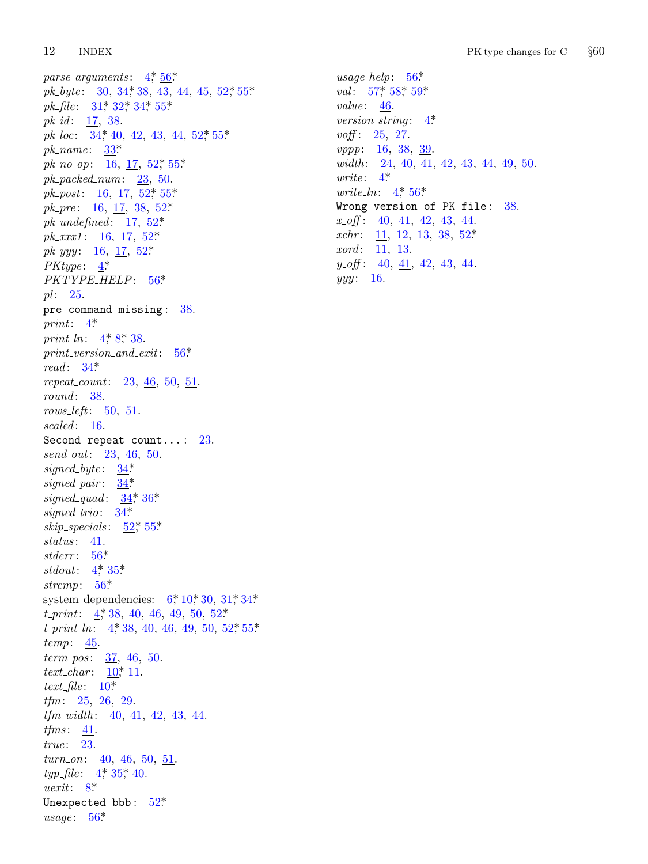12 **INDEX** 

parse\_arguments:  $4, 56$ \* *pk\_byte*: 30,  $34$ , 38, 43, 44, 45, 52, 55\*  $pk_{\text{}}file: 31^*32^*34^*55^*$ *pk\_id:*  $17, 38$ . *pk\_loc*:  $\underline{34}$ , 40, 42, 43, 44, 52, 55,\*  $pk_name: 33*$  $pk_{.}no_{.}op: 16, 17, 52, 55.$  $pk\_packet1num: 23, 50.$  $pk\_post$ : 16, 17, 52\*, 55\* *pk\_pre*: 16, 17, 38, 52\*  $pk\_undefined: \quad \underline{17}, \; 52^*$  $pk\_xxx1$ : 16, 17, 52\*  $pk\_yyy$ : 16, 17, 52\* *PKtype*:  $4^*$ PKTYPE\_HELP: 56\*  $pl: 25.$ pre command missing: 38. print:  $4^*$ *print\_ln:*  $4, 8, 38$ .  $print\_version\_and\_exit: 56*$ read:  $34^*$ repeat\_count:  $23, 46, 50, 51$ .  $round: 38.$ rows\_left:  $50, 51$ .  $scaled: 16.$ Second repeat count...:  $23$ .  $send_out: 23, 46, 50.$ signed\_byte:  $34^*$  $signed\_pair$ :  $34*$ signed\_quad:  $34$ ,  $36$ \* signed\_trio:  $34^*$ skip\_specials:  $52^*$ , 55\*  $status: 41$ . stderr:  $56*$ *stdout*:  $4^{*}$  35\* strcmp:  $56*$ system dependencies:  $6, 10, 30, 31, 34$ .  $t\text{-}print: \quad 4, 38, 40, 46, 49, 50, 52.$  $t\_print\_ln$ : 4, 38, 40, 46, 49, 50, 52, 55\*  $temp: \underline{45}$ .  $term\_pos: 37, 46, 50.$ *text\_char:*  $10^{*} 11$ . text\_file:  $\underline{10}^*$  $tfm: 25, 26, 29.$  $tfm_width: 40, 41, 42, 43, 44.$  $tfms: \underline{41}.$  $true: 23.$  $turn_0n: 40, 46, 50, 51.$ *typ\_file*:  $4, 35, 40$ .  $\textit{uexit}: 8^*$ Unexpected bbb:  $52*$ usage:  $56*$ 

 $usage\_help: 56*$ *val*:  $57$ <sup>\*</sup>,  $58$ <sup>\*</sup>,  $59$ <sup>\*</sup> value:  $46$ . version\_string:  $4^*$ *voff*:  $25, 27$ . *vppp*: 16, 38, 39. width: 24, 40,  $\overline{41}$ , 42, 43, 44, 49, 50. write:  $4^*$ *write\_ln*:  $4^{*}$  56<sup>\*</sup> Wrong version of PK file: 38.  $x \text{ of } 40, 41, 42, 43, 44.$ xchr: 11, 12, 13, 38, 52\*  $xord: \underline{11}, 13.$  $y_{-}$  off: 40,  $41$ , 42, 43, 44.  $yyy: 16.$ 

#### $§60$ PK type changes for C